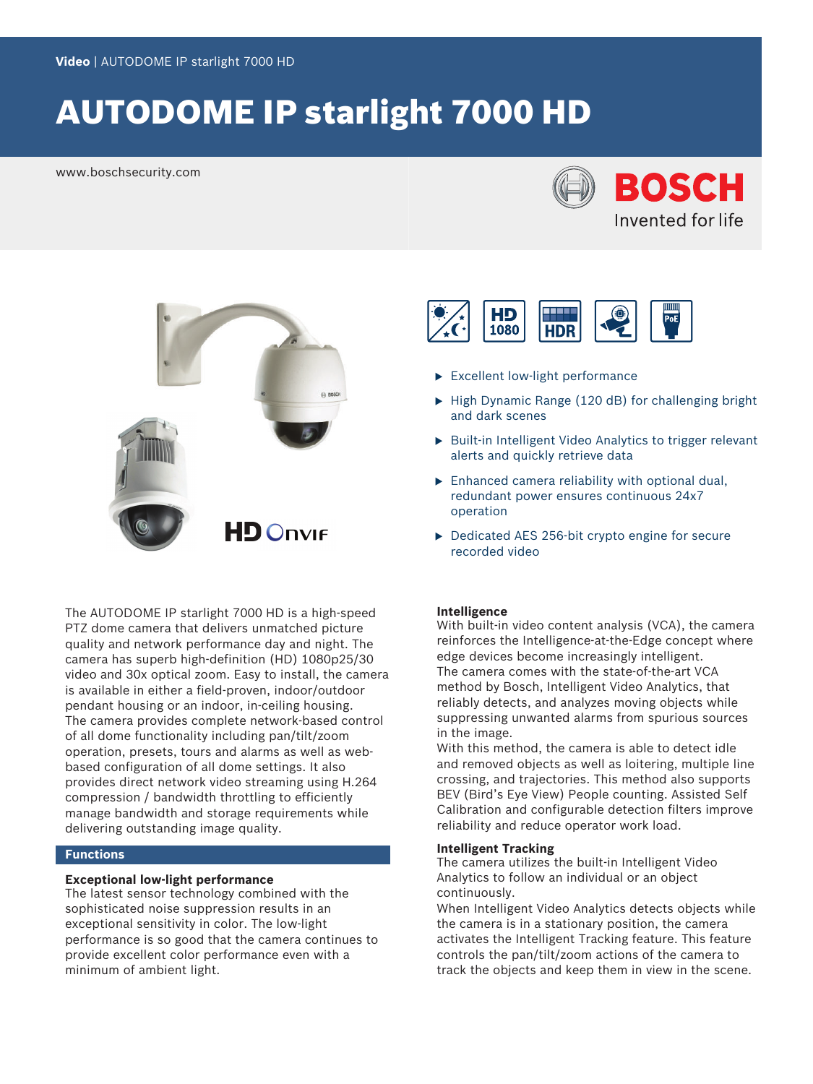# AUTODOME IP starlight 7000 HD

www.boschsecurity.com





The AUTODOME IP starlight 7000 HD is a high-speed PTZ dome camera that delivers unmatched picture quality and network performance day and night. The camera has superb high-definition (HD) 1080p25/30 video and 30x optical zoom. Easy to install, the camera is available in either a field-proven, indoor/outdoor pendant housing or an indoor, in-ceiling housing. The camera provides complete network-based control of all dome functionality including pan/tilt/zoom operation, presets, tours and alarms as well as webbased configuration of all dome settings. It also provides direct network video streaming using H.264 compression / bandwidth throttling to efficiently manage bandwidth and storage requirements while delivering outstanding image quality.

## **Functions**

## **Exceptional low-light performance**

The latest sensor technology combined with the sophisticated noise suppression results in an exceptional sensitivity in color. The low-light performance is so good that the camera continues to provide excellent color performance even with a minimum of ambient light.



- $\blacktriangleright$  Excellent low-light performance
- $\blacktriangleright$  High Dynamic Range (120 dB) for challenging bright and dark scenes
- $\triangleright$  Built-in Intelligent Video Analytics to trigger relevant alerts and quickly retrieve data
- $\triangleright$  Enhanced camera reliability with optional dual, redundant power ensures continuous 24x7 operation
- $\triangleright$  Dedicated AES 256-bit crypto engine for secure recorded video

#### **Intelligence**

With built-in video content analysis (VCA), the camera reinforces the Intelligence-at-the-Edge concept where edge devices become increasingly intelligent. The camera comes with the state-of-the-art VCA method by Bosch, Intelligent Video Analytics, that reliably detects, and analyzes moving objects while suppressing unwanted alarms from spurious sources in the image.

With this method, the camera is able to detect idle and removed objects as well as loitering, multiple line crossing, and trajectories. This method also supports BEV (Bird's Eye View) People counting. Assisted Self Calibration and configurable detection filters improve reliability and reduce operator work load.

## **Intelligent Tracking**

The camera utilizes the built-in Intelligent Video Analytics to follow an individual or an object continuously.

When Intelligent Video Analytics detects objects while the camera is in a stationary position, the camera activates the Intelligent Tracking feature. This feature controls the pan/tilt/zoom actions of the camera to track the objects and keep them in view in the scene.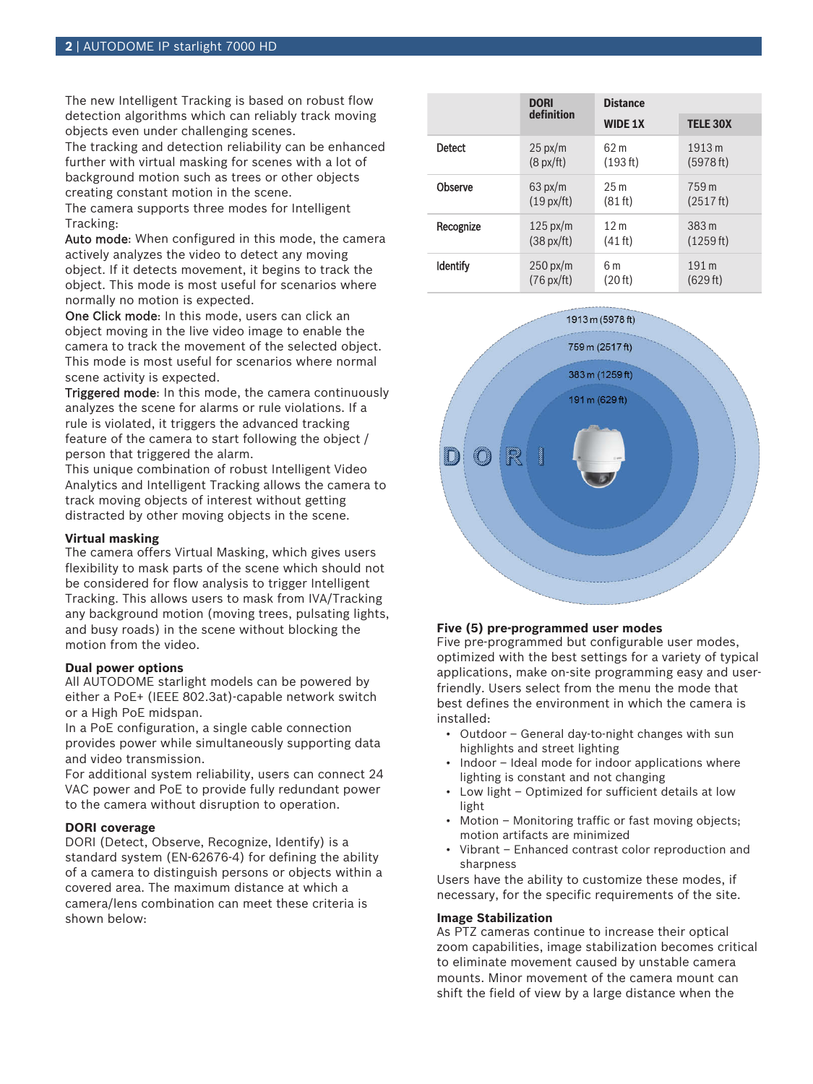The new Intelligent Tracking is based on robust flow detection algorithms which can reliably track moving objects even under challenging scenes.

The tracking and detection reliability can be enhanced further with virtual masking for scenes with a lot of background motion such as trees or other objects creating constant motion in the scene.

The camera supports three modes for Intelligent Tracking:

Auto mode: When configured in this mode, the camera actively analyzes the video to detect any moving object. If it detects movement, it begins to track the object. This mode is most useful for scenarios where normally no motion is expected.

One Click mode: In this mode, users can click an object moving in the live video image to enable the camera to track the movement of the selected object. This mode is most useful for scenarios where normal scene activity is expected.

Triggered mode: In this mode, the camera continuously analyzes the scene for alarms or rule violations. If a rule is violated, it triggers the advanced tracking feature of the camera to start following the object / person that triggered the alarm.

This unique combination of robust Intelligent Video Analytics and Intelligent Tracking allows the camera to track moving objects of interest without getting distracted by other moving objects in the scene.

## **Virtual masking**

The camera offers Virtual Masking, which gives users flexibility to mask parts of the scene which should not be considered for flow analysis to trigger Intelligent Tracking. This allows users to mask from IVA/Tracking any background motion (moving trees, pulsating lights, and busy roads) in the scene without blocking the motion from the video.

#### **Dual power options**

All AUTODOME starlight models can be powered by either a PoE+ (IEEE 802.3at)-capable network switch or a High PoE midspan.

In a PoE configuration, a single cable connection provides power while simultaneously supporting data and video transmission.

For additional system reliability, users can connect 24 VAC power and PoE to provide fully redundant power to the camera without disruption to operation.

## **DORI coverage**

DORI (Detect, Observe, Recognize, Identify) is a standard system (EN-62676-4) for defining the ability of a camera to distinguish persons or objects within a covered area. The maximum distance at which a camera/lens combination can meet these criteria is shown below:

|                 | <b>DORI</b>          | <b>Distance</b>   |                  |
|-----------------|----------------------|-------------------|------------------|
|                 | definition           | <b>WIDE 1X</b>    | <b>TELE 30X</b>  |
| <b>Detect</b>   | $25 \text{ px/m}$    | 62m               | 1913 m           |
|                 | $(8 \text{ px/ft})$  | (193 ft)          | (5978 ft)        |
| Observe         | $63 \text{ px/m}$    | 25m               | 759 m            |
|                 | $(19 \text{ px/ft})$ | (81 ft)           | (2517 ft)        |
| Recognize       | $125 \text{ px/m}$   | 12 <sub>m</sub>   | 383 <sub>m</sub> |
|                 | $(38 \text{ px/ft})$ | $(41 \text{ ft})$ | (1259 ft)        |
| <b>Identify</b> | $250 \text{ px/m}$   | 6m                | 191 <sub>m</sub> |
|                 | $(76 \text{ px/ft})$ | (20 ft)           | (629 ft)         |



# **Five (5) pre-programmed user modes**

Five pre-programmed but configurable user modes, optimized with the best settings for a variety of typical applications, make on-site programming easy and userfriendly. Users select from the menu the mode that best defines the environment in which the camera is installed:

- Outdoor General day-to-night changes with sun highlights and street lighting
- Indoor Ideal mode for indoor applications where lighting is constant and not changing
- Low light Optimized for sufficient details at low light
- Motion Monitoring traffic or fast moving objects; motion artifacts are minimized
- Vibrant Enhanced contrast color reproduction and sharpness

Users have the ability to customize these modes, if necessary, for the specific requirements of the site.

#### **Image Stabilization**

As PTZ cameras continue to increase their optical zoom capabilities, image stabilization becomes critical to eliminate movement caused by unstable camera mounts. Minor movement of the camera mount can shift the field of view by a large distance when the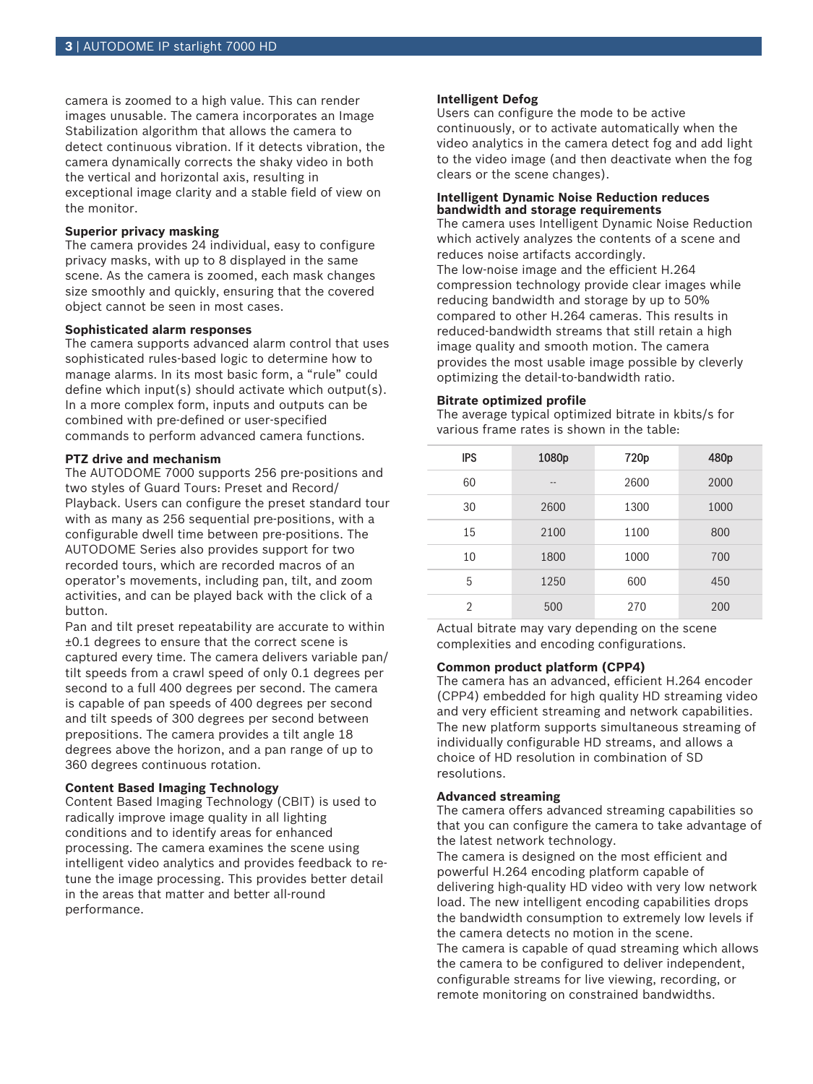camera is zoomed to a high value. This can render images unusable. The camera incorporates an Image Stabilization algorithm that allows the camera to detect continuous vibration. If it detects vibration, the camera dynamically corrects the shaky video in both the vertical and horizontal axis, resulting in exceptional image clarity and a stable field of view on the monitor.

#### **Superior privacy masking**

The camera provides 24 individual, easy to configure privacy masks, with up to 8 displayed in the same scene. As the camera is zoomed, each mask changes size smoothly and quickly, ensuring that the covered object cannot be seen in most cases.

#### **Sophisticated alarm responses**

The camera supports advanced alarm control that uses sophisticated rules-based logic to determine how to manage alarms. In its most basic form, a "rule" could define which input(s) should activate which output(s). In a more complex form, inputs and outputs can be combined with pre-defined or user-specified commands to perform advanced camera functions.

#### **PTZ drive and mechanism**

The AUTODOME 7000 supports 256 pre-positions and two styles of Guard Tours: Preset and Record/ Playback. Users can configure the preset standard tour with as many as 256 sequential pre-positions, with a configurable dwell time between pre-positions. The AUTODOME Series also provides support for two recorded tours, which are recorded macros of an operator's movements, including pan, tilt, and zoom activities, and can be played back with the click of a button.

Pan and tilt preset repeatability are accurate to within ±0.1 degrees to ensure that the correct scene is captured every time. The camera delivers variable pan/ tilt speeds from a crawl speed of only 0.1 degrees per second to a full 400 degrees per second. The camera is capable of pan speeds of 400 degrees per second and tilt speeds of 300 degrees per second between prepositions. The camera provides a tilt angle 18 degrees above the horizon, and a pan range of up to 360 degrees continuous rotation.

#### **Content Based Imaging Technology**

Content Based Imaging Technology (CBIT) is used to radically improve image quality in all lighting conditions and to identify areas for enhanced processing. The camera examines the scene using intelligent video analytics and provides feedback to retune the image processing. This provides better detail in the areas that matter and better all-round performance.

## **Intelligent Defog**

Users can configure the mode to be active continuously, or to activate automatically when the video analytics in the camera detect fog and add light to the video image (and then deactivate when the fog clears or the scene changes).

#### **Intelligent Dynamic Noise Reduction reduces bandwidth and storage requirements**

The camera uses Intelligent Dynamic Noise Reduction which actively analyzes the contents of a scene and reduces noise artifacts accordingly. The low-noise image and the efficient H.264 compression technology provide clear images while reducing bandwidth and storage by up to 50% compared to other H.264 cameras. This results in reduced-bandwidth streams that still retain a high image quality and smooth motion. The camera provides the most usable image possible by cleverly optimizing the detail-to-bandwidth ratio.

#### **Bitrate optimized profile**

The average typical optimized bitrate in kbits/s for various frame rates is shown in the table:

| <b>IPS</b>     | 1080p | 720p | 480p |
|----------------|-------|------|------|
| 60             | --    | 2600 | 2000 |
| 30             | 2600  | 1300 | 1000 |
| 15             | 2100  | 1100 | 800  |
| 10             | 1800  | 1000 | 700  |
| 5              | 1250  | 600  | 450  |
| $\mathfrak{D}$ | 500   | 270  | 200  |

Actual bitrate may vary depending on the scene complexities and encoding configurations.

#### **Common product platform (CPP4)**

The camera has an advanced, efficient H.264 encoder (CPP4) embedded for high quality HD streaming video and very efficient streaming and network capabilities. The new platform supports simultaneous streaming of individually configurable HD streams, and allows a choice of HD resolution in combination of SD resolutions.

## **Advanced streaming**

The camera offers advanced streaming capabilities so that you can configure the camera to take advantage of the latest network technology.

The camera is designed on the most efficient and powerful H.264 encoding platform capable of delivering high-quality HD video with very low network load. The new intelligent encoding capabilities drops the bandwidth consumption to extremely low levels if the camera detects no motion in the scene. The camera is capable of quad streaming which allows the camera to be configured to deliver independent, configurable streams for live viewing, recording, or remote monitoring on constrained bandwidths.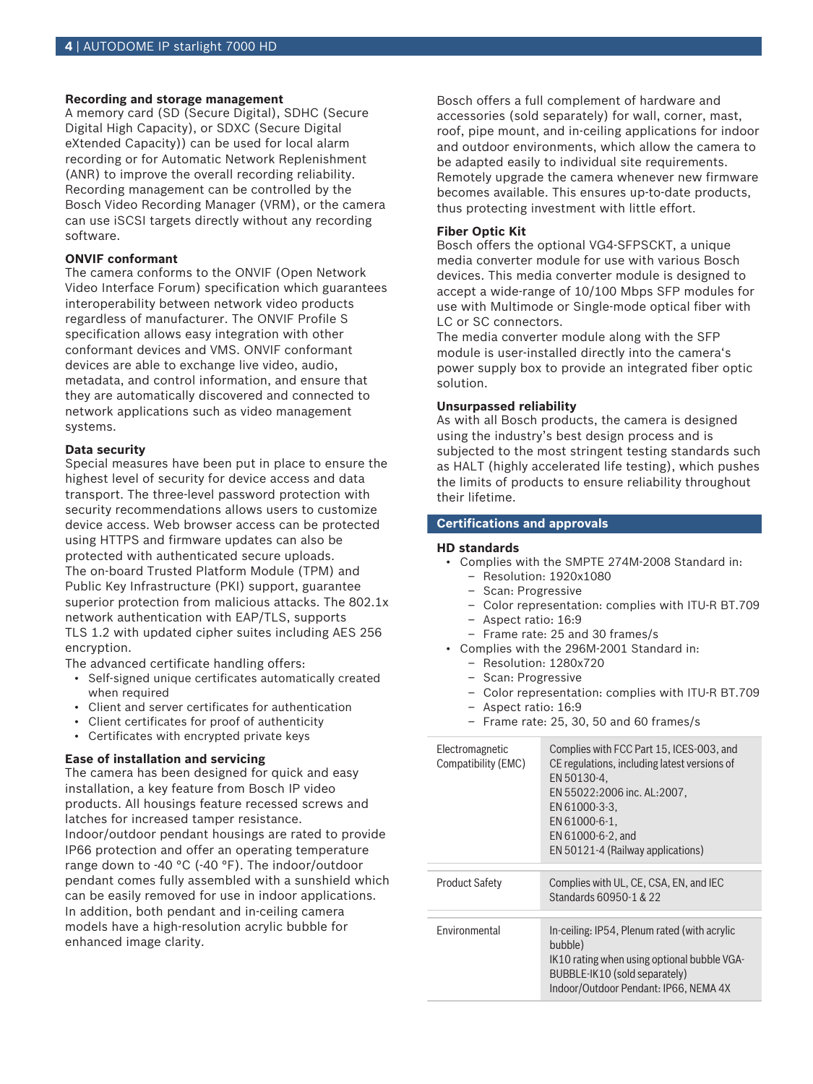## **Recording and storage management**

A memory card (SD (Secure Digital), SDHC (Secure Digital High Capacity), or SDXC (Secure Digital eXtended Capacity)) can be used for local alarm recording or for Automatic Network Replenishment (ANR) to improve the overall recording reliability. Recording management can be controlled by the Bosch Video Recording Manager (VRM), or the camera can use iSCSI targets directly without any recording software.

## **ONVIF conformant**

The camera conforms to the ONVIF (Open Network Video Interface Forum) specification which guarantees interoperability between network video products regardless of manufacturer. The ONVIF Profile S specification allows easy integration with other conformant devices and VMS. ONVIF conformant devices are able to exchange live video, audio, metadata, and control information, and ensure that they are automatically discovered and connected to network applications such as video management systems.

#### **Data security**

Special measures have been put in place to ensure the highest level of security for device access and data transport. The three-level password protection with security recommendations allows users to customize device access. Web browser access can be protected using HTTPS and firmware updates can also be protected with authenticated secure uploads. The on-board Trusted Platform Module (TPM) and Public Key Infrastructure (PKI) support, guarantee superior protection from malicious attacks. The 802.1x network authentication with EAP/TLS, supports TLS 1.2 with updated cipher suites including AES 256 encryption.

The advanced certificate handling offers:

- Self-signed unique certificates automatically created when required
- Client and server certificates for authentication
- Client certificates for proof of authenticity
- Certificates with encrypted private keys

## **Ease of installation and servicing**

The camera has been designed for quick and easy installation, a key feature from Bosch IP video products. All housings feature recessed screws and latches for increased tamper resistance. Indoor/outdoor pendant housings are rated to provide IP66 protection and offer an operating temperature range down to -40 °C (-40 °F). The indoor/outdoor pendant comes fully assembled with a sunshield which can be easily removed for use in indoor applications. In addition, both pendant and in-ceiling camera models have a high-resolution acrylic bubble for enhanced image clarity.

Bosch offers a full complement of hardware and accessories (sold separately) for wall, corner, mast, roof, pipe mount, and in-ceiling applications for indoor and outdoor environments, which allow the camera to be adapted easily to individual site requirements. Remotely upgrade the camera whenever new firmware becomes available. This ensures up-to-date products, thus protecting investment with little effort.

#### **Fiber Optic Kit**

Bosch offers the optional VG4-SFPSCKT, a unique media converter module for use with various Bosch devices. This media converter module is designed to accept a wide-range of 10/100 Mbps SFP modules for use with Multimode or Single-mode optical fiber with LC or SC connectors.

The media converter module along with the SFP module is user-installed directly into the camera's power supply box to provide an integrated fiber optic solution.

## **Unsurpassed reliability**

As with all Bosch products, the camera is designed using the industry's best design process and is subjected to the most stringent testing standards such as HALT (highly accelerated life testing), which pushes the limits of products to ensure reliability throughout their lifetime.

#### **Certifications and approvals**

#### **HD standards**

- Complies with the SMPTE 274M-2008 Standard in:
	- Resolution: 1920x1080
	- Scan: Progressive
	- Color representation: complies with ITU-R BT.709
	- Aspect ratio: 16:9
	- Frame rate: 25 and 30 frames/s
- Complies with the 296M-2001 Standard in:
	- Resolution: 1280x720
	- Scan: Progressive
	- Color representation: complies with ITU-R BT.709
	- Aspect ratio: 16:9
	- Frame rate: 25, 30, 50 and 60 frames/s

| Electromagnetic<br>Compatibility (EMC) | Complies with FCC Part 15, ICES-003, and<br>CE regulations, including latest versions of<br>EN 50130-4.<br>EN 55022:2006 inc. AL:2007,<br>EN 61000-3-3,<br>EN 61000-6-1.<br>EN 61000-6-2, and<br>EN 50121-4 (Railway applications) |
|----------------------------------------|------------------------------------------------------------------------------------------------------------------------------------------------------------------------------------------------------------------------------------|
| Product Safety                         | Complies with UL, CE, CSA, EN, and IEC<br>Standards 60950-1 & 22                                                                                                                                                                   |
| Fnvironmental                          | In-ceiling: IP54, Plenum rated (with acrylic<br>bubble)<br>IK10 rating when using optional bubble VGA-<br>BUBBLE-IK10 (sold separately)<br>Indoor/Outdoor Pendant: IP66, NEMA 4X                                                   |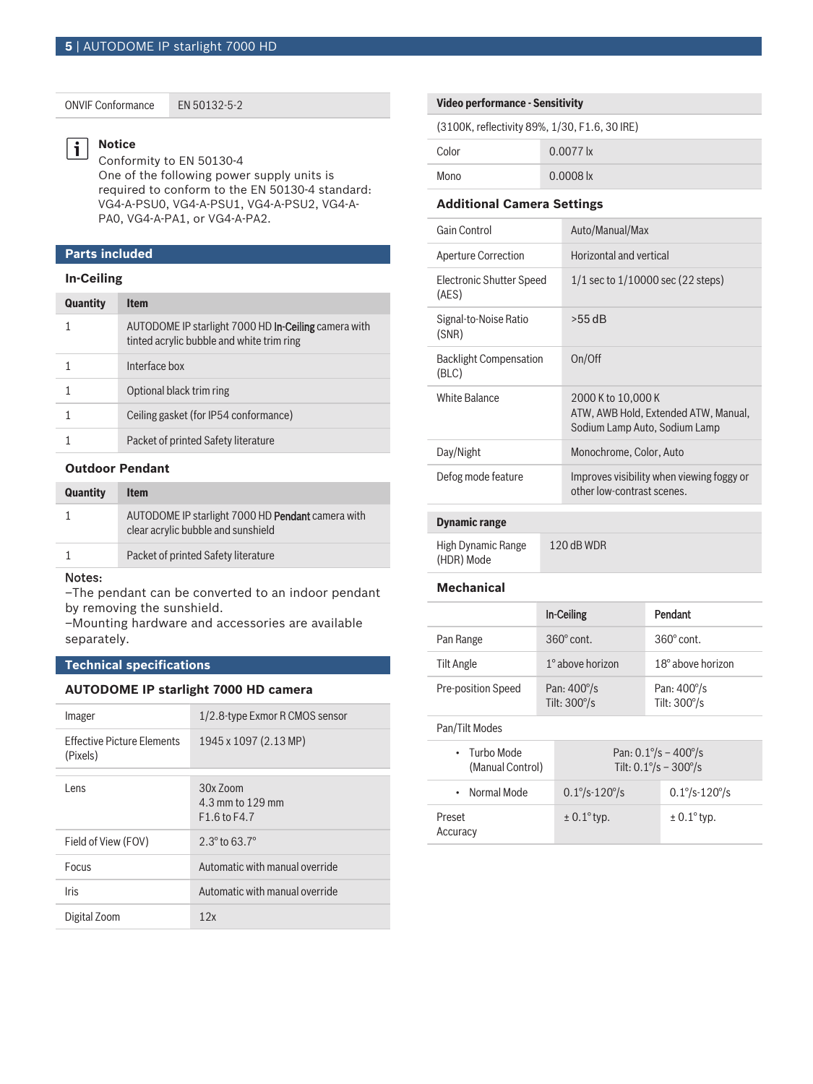ONVIF Conformance EN 50132-5-2

#### **Notice** li.

Conformity to EN 50130-4 One of the following power supply units is required to conform to the EN 50130-4 standard: VG4-A-PSU0, VG4-A-PSU1, VG4-A-PSU2, VG4-A-PA0, VG4-A-PA1, or VG4-A-PA2.

# **Parts included**

# **In-Ceiling**

| <b>Quantity</b> | <b>Item</b>                                                                                              |
|-----------------|----------------------------------------------------------------------------------------------------------|
|                 | AUTODOME IP starlight 7000 HD <b>In-Ceiling</b> camera with<br>tinted acrylic bubble and white trim ring |
|                 | Interface box                                                                                            |
|                 | Optional black trim ring                                                                                 |
|                 | Ceiling gasket (for IP54 conformance)                                                                    |
|                 | Packet of printed Safety literature                                                                      |

# **Outdoor Pendant**

| <b>Quantity</b> | <b>Item</b>                                                                             |
|-----------------|-----------------------------------------------------------------------------------------|
|                 | AUTODOME IP starlight 7000 HD Pendant camera with<br>clear acrylic bubble and sunshield |
|                 | Packet of printed Safety literature                                                     |
| $N = 1 - 1$     |                                                                                         |

#### Notes:

–The pendant can be converted to an indoor pendant by removing the sunshield.

–Mounting hardware and accessories are available separately.

# **Technical specifications**

#### **AUTODOME IP starlight 7000 HD camera**

| Imager                                        | 1/2.8-type Exmor R CMOS sensor                       |
|-----------------------------------------------|------------------------------------------------------|
| <b>Effective Picture Flements</b><br>(Pixels) | 1945 x 1097 (2.13 MP)                                |
| Lens                                          | $30x$ $700m$<br>4.3 mm to 129 mm<br>$F1.6$ to $F4.7$ |
| Field of View (FOV)                           | $2.3^{\circ}$ to 63.7 $^{\circ}$                     |
| Focus                                         | Automatic with manual override                       |
| <b>Iris</b>                                   | Automatic with manual override                       |
| Digital Zoom                                  | 12x                                                  |

#### **Video performance - Sensitivity**

| (3100K, reflectivity 89%, 1/30, F1.6, 30 IRE) |  |  |  |  |
|-----------------------------------------------|--|--|--|--|
|-----------------------------------------------|--|--|--|--|

| Color | $0.0077$ lx |
|-------|-------------|
| Mono  | $0.0008$ lx |

#### **Additional Camera Settings**

| Gain Control                           | Auto/Manual/Max                                                                             |
|----------------------------------------|---------------------------------------------------------------------------------------------|
| <b>Aperture Correction</b>             | Horizontal and vertical                                                                     |
| Electronic Shutter Speed<br>(AES)      | $1/1$ sec to $1/10000$ sec (22 steps)                                                       |
| Signal-to-Noise Ratio<br>(SNR)         | $>55$ dB                                                                                    |
| <b>Backlight Compensation</b><br>(BLC) | On/Off                                                                                      |
| White Balance                          | 2000 K to 10,000 K<br>ATW, AWB Hold, Extended ATW, Manual,<br>Sodium Lamp Auto, Sodium Lamp |
| Day/Night                              | Monochrome, Color, Auto                                                                     |
| Defog mode feature                     | Improves visibility when viewing foggy or<br>other low-contrast scenes.                     |
|                                        |                                                                                             |

# **Dynamic range**

| High Dynamic Range | 120 dB WDR |
|--------------------|------------|
| (HDR) Mode         |            |

#### **Mechanical**

|                    | In-Ceiling                         | Pendant                            |
|--------------------|------------------------------------|------------------------------------|
| Pan Range          | $360^\circ$ cont.                  | $360^{\circ}$ cont.                |
| Tilt Angle         | $1^\circ$ above horizon            | $18^\circ$ above horizon           |
| Pre-position Speed | Pan: $400^{\circ}/s$<br>Tilt: 300% | Pan: $400^{\circ}/s$<br>Tilt: 300% |

## Pan/Tilt Modes

| $\cdot$ Turbo Mode<br>(Manual Control) | Pan: $0.1\% - 400\%$<br>Tilt: $0.1\% - 300\%$                 |                          |
|----------------------------------------|---------------------------------------------------------------|--------------------------|
| • Normal Mode                          | $0.1\frac{\text{°}}{\text{S}} - 120\frac{\text{°}}{\text{S}}$ | $0.1\% - 120\%$          |
| Preset<br>Accuracy                     | $\pm$ 0.1 $\degree$ typ.                                      | $\pm$ 0.1 $\degree$ typ. |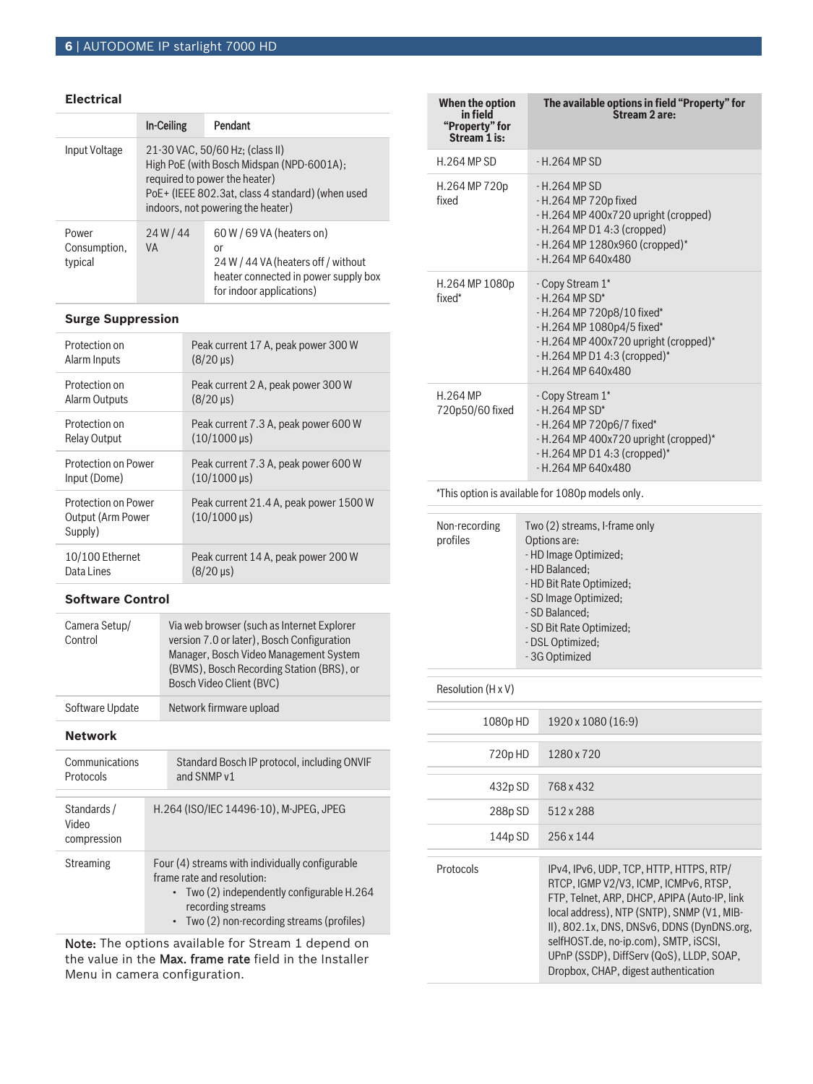## **Electrical**

|                                  | <b>In-Ceiling</b>                                                                                                                                                                                      | Pendant |  |
|----------------------------------|--------------------------------------------------------------------------------------------------------------------------------------------------------------------------------------------------------|---------|--|
| Input Voltage                    | 21-30 VAC, 50/60 Hz; (class II)<br>High PoE (with Bosch Midspan (NPD-6001A);<br>required to power the heater)<br>PoE+ (IEEE 802.3at, class 4 standard) (when used<br>indoors, not powering the heater) |         |  |
| Power<br>Consumption,<br>typical | $60 W / 69 VA$ (heaters on)<br>24W/44<br><b>VA</b><br>or<br>24 W / 44 VA (heaters off / without<br>heater connected in power supply box<br>for indoor applications)                                    |         |  |

# **Surge Suppression**

| Protection on                                       | Peak current 17 A, peak power 300 W                           |
|-----------------------------------------------------|---------------------------------------------------------------|
| Alarm Inputs                                        | $(8/20 \,\mu s)$                                              |
| Protection on                                       | Peak current 2 A, peak power 300 W                            |
| Alarm Outputs                                       | $(8/20 \,\mu s)$                                              |
| Protection on                                       | Peak current 7.3 A, peak power 600 W                          |
| <b>Relay Output</b>                                 | $(10/1000 \,\mu s)$                                           |
| Protection on Power                                 | Peak current 7.3 A, peak power 600 W                          |
| Input (Dome)                                        | $(10/1000 \,\mu s)$                                           |
| Protection on Power<br>Output (Arm Power<br>Supply) | Peak current 21.4 A, peak power 1500 W<br>$(10/1000 \,\mu s)$ |
| 10/100 Ethernet                                     | Peak current 14 A, peak power 200 W                           |
| Data Lines                                          | $(8/20 \,\mu s)$                                              |

# **Software Control**

| Camera Setup/<br>Control | Via web browser (such as Internet Explorer<br>version 7.0 or later), Bosch Configuration<br>Manager, Bosch Video Management System<br>(BVMS), Bosch Recording Station (BRS), or<br>Bosch Video Client (BVC) |
|--------------------------|-------------------------------------------------------------------------------------------------------------------------------------------------------------------------------------------------------------|
| Software Update          | Network firmware upload                                                                                                                                                                                     |

## **Network**

| Communications<br>Protocols        | Standard Bosch IP protocol, including ONVIF<br>and SNMP v1                                                                                                                                           |  |
|------------------------------------|------------------------------------------------------------------------------------------------------------------------------------------------------------------------------------------------------|--|
|                                    |                                                                                                                                                                                                      |  |
| Standards/<br>Video<br>compression | H.264 (ISO/IEC 14496-10), M-JPEG, JPEG                                                                                                                                                               |  |
| Streaming                          | Four (4) streams with individually configurable<br>frame rate and resolution:<br>$\cdot$ Two (2) independently configurable H.264<br>recording streams<br>• Two (2) non-recording streams (profiles) |  |

Note: The options available for Stream 1 depend on the value in the Max. frame rate field in the Installer Menu in camera configuration.

| When the option<br>"Property" for<br><b>Stream 1 is:</b> | The available options in field "Property" for<br>.<br>Stream 2 are:                                                                                                                                                               |  |
|----------------------------------------------------------|-----------------------------------------------------------------------------------------------------------------------------------------------------------------------------------------------------------------------------------|--|
| <b>H.264 MP SD</b>                                       | - H.264 MP SD                                                                                                                                                                                                                     |  |
| H.264 MP 720p<br>fixed                                   | - H.264 MP SD<br>- H.264 MP 720p fixed<br>- H.264 MP 400x720 upright (cropped)<br>- H.264 MP D1 4:3 (cropped)<br>- H.264 MP 1280x960 (cropped)*<br>- H.264 MP 640x480                                                             |  |
| H.264 MP 1080p<br>fixed*                                 | - Copy Stream 1*<br>- H.264 MP SD*<br>- H.264 MP 720p8/10 fixed*<br>- H.264 MP 1080p4/5 fixed*<br>- H.264 MP 400x720 upright (cropped)*<br>$-H.264$ MP D1 4:3 (cropped)*<br>$- H.264 MP 640x480$                                  |  |
| H.264 MP<br>720p50/60 fixed                              | - Copy Stream 1*<br>$-H.264 MP SD*$<br>- H.264 MP 720p6/7 fixed*<br>- H.264 MP 400x720 upright (cropped)*<br>$-H.264$ MP D1 4:3 (cropped)*<br>$- H.264 MP 640x480$                                                                |  |
| *This option is available for 1080p models only.         |                                                                                                                                                                                                                                   |  |
| Non-recording<br>profiles                                | Two (2) streams, I-frame only<br>Options are:<br>- HD Image Optimized;<br>- HD Balanced:<br>- HD Bit Rate Optimized;<br>- SD Image Optimized;<br>- SD Balanced:<br>- SD Bit Rate Optimized;<br>- DSL Optimized;<br>- 3G Optimized |  |

## Resolution (H x V)

| 1080p HD  | 1920 x 1080 (16:9)                                                                                                                                                                                                                                                                                                                                        |
|-----------|-----------------------------------------------------------------------------------------------------------------------------------------------------------------------------------------------------------------------------------------------------------------------------------------------------------------------------------------------------------|
| 720pHD    | 1280 x 720                                                                                                                                                                                                                                                                                                                                                |
| 432pSD    | 768 x 432                                                                                                                                                                                                                                                                                                                                                 |
| 288p SD   | 512 x 288                                                                                                                                                                                                                                                                                                                                                 |
| 144p SD   | 256 x 144                                                                                                                                                                                                                                                                                                                                                 |
| Protocols | IPv4, IPv6, UDP, TCP, HTTP, HTTPS, RTP/<br>RTCP, IGMP V2/V3, ICMP, ICMPv6, RTSP,<br>FTP, Telnet, ARP, DHCP, APIPA (Auto-IP, link<br>local address), NTP (SNTP), SNMP (V1, MIB-<br>II), 802.1x, DNS, DNSv6, DDNS (DynDNS.org,<br>selfHOST.de, no-ip.com), SMTP, iSCSI,<br>UPnP (SSDP), DiffServ (QoS), LLDP, SOAP,<br>Dropbox, CHAP, digest authentication |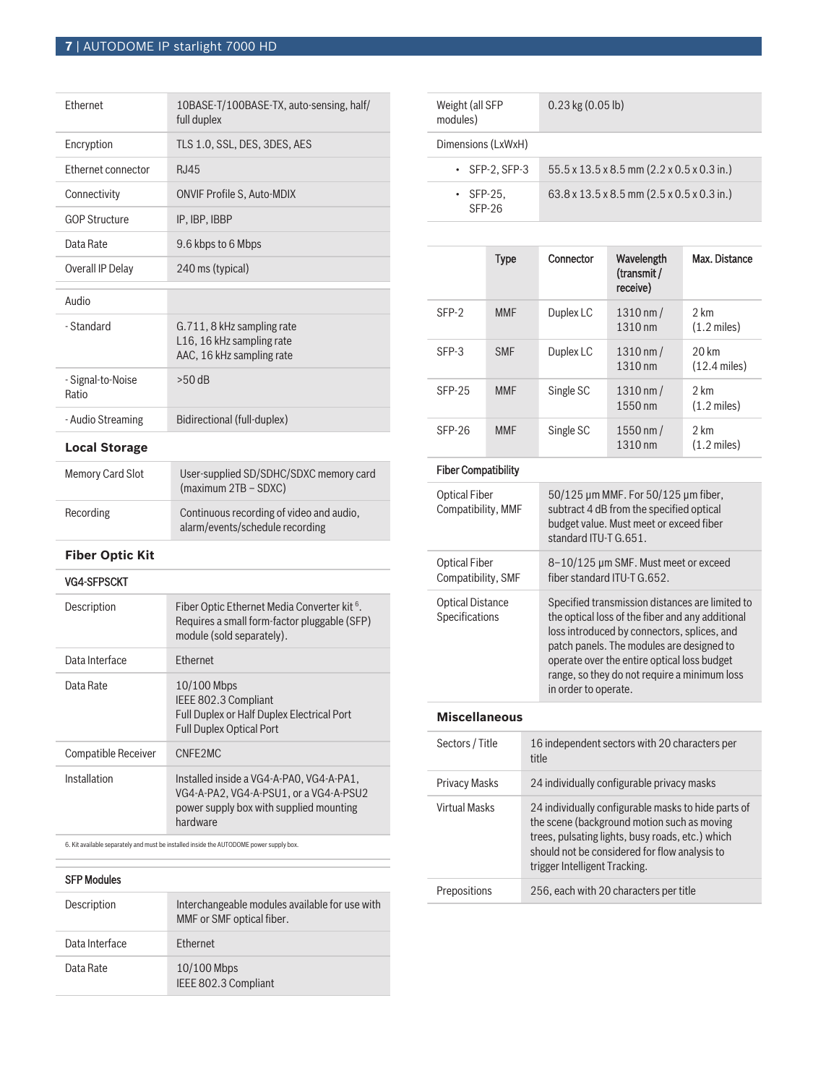# **7** | AUTODOME IP starlight 7000 HD

| <b>Fthernet</b>            | 10BASE-T/100BASE-TX, auto-sensing, half/<br>full duplex                              |
|----------------------------|--------------------------------------------------------------------------------------|
| Encryption                 | TLS 1.0, SSL, DES, 3DES, AES                                                         |
| Ethernet connector         | R.I45                                                                                |
| Connectivity               | <b>ONVIF Profile S, Auto-MDIX</b>                                                    |
| <b>GOP Structure</b>       | IP, IBP, IBBP                                                                        |
| Data Rate                  | 9.6 kbps to 6 Mbps                                                                   |
| Overall IP Delay           | 240 ms (typical)                                                                     |
| Audio                      |                                                                                      |
| - Standard                 | G.711, 8 kHz sampling rate<br>L16, 16 kHz sampling rate<br>AAC, 16 kHz sampling rate |
| - Signal-to-Noise<br>Ratio | $>50$ dB                                                                             |
| - Audio Streaming          | Bidirectional (full-duplex)                                                          |
| <b>Local Storage</b>       |                                                                                      |

| Memory Card Slot | User-supplied SD/SDHC/SDXC memory card<br>(maximum 2TB - SDXC)              |
|------------------|-----------------------------------------------------------------------------|
| Recording        | Continuous recording of video and audio,<br>alarm/events/schedule recording |

## **Fiber Optic Kit**

#### VG4-SFPSCKT

| Description                | Fiber Optic Ethernet Media Converter kit <sup>6</sup> .<br>Requires a small form-factor pluggable (SFP)<br>module (sold separately).      |
|----------------------------|-------------------------------------------------------------------------------------------------------------------------------------------|
| Data Interface             | <b>Ethernet</b>                                                                                                                           |
| Data Rate                  | $10/100$ Mbps<br>IEEE 802.3 Compliant<br><b>Full Duplex or Half Duplex Electrical Port</b><br><b>Full Duplex Optical Port</b>             |
| <b>Compatible Receiver</b> | CNFF <sub>2</sub> MC                                                                                                                      |
| Installation               | Installed inside a VG4-A-PA0, VG4-A-PA1,<br>VG4-A-PA2. VG4-A-PSU1. or a VG4-A-PSU2<br>power supply box with supplied mounting<br>hardware |

6. Kit available separately and must be installed inside the AUTODOME power supply box.

| <b>SFP Modules</b> |                                                                             |
|--------------------|-----------------------------------------------------------------------------|
| Description        | Interchangeable modules available for use with<br>MMF or SMF optical fiber. |
| Data Interface     | <b>Ethernet</b>                                                             |
| Data Rate          | $10/100$ Mbps<br>IEEE 802.3 Compliant                                       |

| Weight (all SFP<br>modules) | $0.23$ kg $(0.05 \text{ lb})$                                       |  |
|-----------------------------|---------------------------------------------------------------------|--|
| Dimensions (LxWxH)          |                                                                     |  |
| $\cdot$ SFP-2, SFP-3        | $55.5 \times 13.5 \times 8.5$ mm $(2.2 \times 0.5 \times 0.3)$ in.) |  |
| $\cdot$ SFP-25.<br>SFP-26   | $63.8 \times 13.5 \times 8.5$ mm $(2.5 \times 0.5 \times 0.3)$ in.) |  |

|          | <b>Type</b> | Connector | Wavelength<br>(transmit /<br>receive) | Max. Distance                              |
|----------|-------------|-----------|---------------------------------------|--------------------------------------------|
| SFP-2    | <b>MMF</b>  | Duplex LC | $1310 \, \text{nm}$ /<br>1310 nm      | 2 km<br>$(1.2 \text{ miles})$              |
| $SFP-3$  | <b>SMF</b>  | Duplex LC | $1310 \, \text{nm}$ /<br>1310 nm      | $20 \mathrm{km}$<br>$(12.4 \text{ miles})$ |
| $SFP-25$ | <b>MMF</b>  | Single SC | $1310 \, \text{nm}$ /<br>1550 nm      | 2 km<br>$(1.2 \text{ miles})$              |
| $SFP-26$ | <b>MMF</b>  | Single SC | $1550$ nm $/$<br>1310 nm              | 2 km<br>$(1.2 \text{ miles})$              |

#### Fiber Compatibility Optical Fiber Compatibility, MMF 50/125 µm MMF. For 50/125 µm fiber, subtract 4 dB from the specified optical budget value. Must meet or exceed fiber standard ITU-T G.651. Optical Fiber Compatibility, SMF 8–10/125 µm SMF. Must meet or exceed fiber standard ITU-T G.652. Optical Distance Specifications Specified transmission distances are limited to the optical loss of the fiber and any additional loss introduced by connectors, splices, and patch panels. The modules are designed to operate over the entire optical loss budget range, so they do not require a minimum loss in order to operate.

#### **Miscellaneous**

| Sectors / Title      | 16 independent sectors with 20 characters per<br>title                                                                                                                                                                                   |
|----------------------|------------------------------------------------------------------------------------------------------------------------------------------------------------------------------------------------------------------------------------------|
| <b>Privacy Masks</b> | 24 individually configurable privacy masks                                                                                                                                                                                               |
| Virtual Masks        | 24 individually configurable masks to hide parts of<br>the scene (background motion such as moving<br>trees, pulsating lights, busy roads, etc.) which<br>should not be considered for flow analysis to<br>trigger Intelligent Tracking. |
| Prepositions         | 256, each with 20 characters per title                                                                                                                                                                                                   |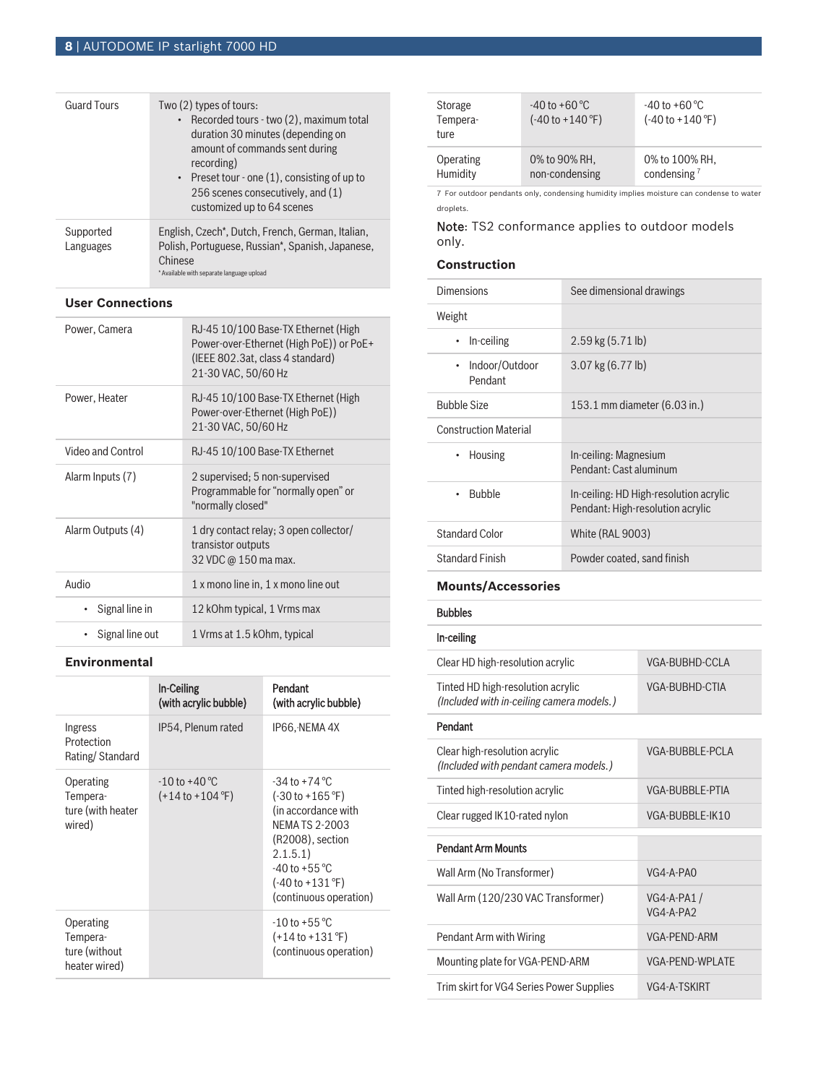| <b>Guard Tours</b>     | Two (2) types of tours:<br>• Recorded tours - two (2), maximum total<br>duration 30 minutes (depending on<br>amount of commands sent during<br>recording)<br>• Preset tour - one $(1)$ , consisting of up to<br>256 scenes consecutively, and (1)<br>customized up to 64 scenes |
|------------------------|---------------------------------------------------------------------------------------------------------------------------------------------------------------------------------------------------------------------------------------------------------------------------------|
| Supported<br>Languages | English, Czech*, Dutch, French, German, Italian,<br>Polish, Portuguese, Russian*, Spanish, Japanese,<br>Chinese<br>* Available with separate language upload                                                                                                                    |

## **User Connections**

| Power, Camera     | RJ-45 10/100 Base-TX Ethernet (High<br>Power-over-Ethernet (High PoE)) or PoE+<br>(IEEE 802.3at, class 4 standard)<br>21-30 VAC, 50/60 Hz |
|-------------------|-------------------------------------------------------------------------------------------------------------------------------------------|
| Power, Heater     | RJ-45 10/100 Base-TX Ethernet (High<br>Power-over-Ethernet (High PoE))<br>21-30 VAC, 50/60 Hz                                             |
| Video and Control | RJ-45 10/100 Base-TX Ethernet                                                                                                             |
| Alarm Inputs (7)  | 2 supervised; 5 non-supervised<br>Programmable for "normally open" or<br>"normally closed"                                                |
| Alarm Outputs (4) | 1 dry contact relay; 3 open collector/<br>transistor outputs<br>32 VDC @ 150 ma max.                                                      |
| Audio             | 1 x mono line in, 1 x mono line out                                                                                                       |
| Signal line in    | 12 kOhm typical, 1 Vrms max                                                                                                               |
| Signal line out   | 1 Vrms at 1.5 kOhm, typical                                                                                                               |

# **Environmental**

|                                                         | <b>In-Ceiling</b><br>(with acrylic bubble)               | Pendant<br>(with acrylic bubble)                                                                                                                                                                                                                    |
|---------------------------------------------------------|----------------------------------------------------------|-----------------------------------------------------------------------------------------------------------------------------------------------------------------------------------------------------------------------------------------------------|
| Ingress<br>Protection<br>Rating/Standard                | IP54, Plenum rated                                       | IP66, NEMA 4X                                                                                                                                                                                                                                       |
| Operating<br>Tempera-<br>ture (with heater<br>wired)    | $-10$ to $+40$ °C<br>$(+14 \text{ to } +104 \text{ °F})$ | $-34$ to $+74$ °C<br>$(-30 \text{ to } +165 \text{ }^{\circ}\text{F})$<br>(in accordance with<br>NEMA TS 2-2003<br>(R2008), section<br>2.1.5.1)<br>$-40$ to $+55$ °C<br>$(-40 \text{ to } +131 \text{ }^{\circ}\text{F})$<br>(continuous operation) |
| Operating<br>Tempera-<br>ture (without<br>heater wired) |                                                          | $-10$ to $+55$ °C<br>$(+14 \text{ to } +131 \text{ }^{\circ}\text{F})$<br>(continuous operation)                                                                                                                                                    |

| Storage<br>Tempera-<br>ture | $-40$ to $+60$ °C<br>$(-40 \text{ to } +140 \text{ °F})$ | $-40$ to $+60^{\circ}$ C<br>$(-40 \text{ to } +140 \text{ °F})$ |
|-----------------------------|----------------------------------------------------------|-----------------------------------------------------------------|
| Operating                   | 0% to 90% RH.                                            | 0% to 100% RH.                                                  |
| Humidity                    | non-condensing                                           | condensing $7$                                                  |

7 For outdoor pendants only, condensing humidity implies moisture can condense to water droplets.

# Note: TS2 conformance applies to outdoor models only.

# **Construction**

| Dimensions                             | See dimensional drawings                                                   |
|----------------------------------------|----------------------------------------------------------------------------|
| Weight                                 |                                                                            |
| In-ceiling<br>$\bullet$                | $2.59$ kg $(5.71$ lb)                                                      |
| Indoor/Outdoor<br>$\bullet$<br>Pendant | $3.07$ kg $(6.77$ lb)                                                      |
| <b>Bubble Size</b>                     | 153.1 mm diameter (6.03 in.)                                               |
| <b>Construction Material</b>           |                                                                            |
| Housing<br>$\bullet$                   | In-ceiling: Magnesium<br>Pendant: Cast aluminum                            |
| <b>Bubble</b>                          | In-ceiling: HD High-resolution acrylic<br>Pendant: High-resolution acrylic |
| <b>Standard Color</b>                  | <b>White (RAL 9003)</b>                                                    |
| <b>Standard Finish</b>                 | Powder coated, sand finish                                                 |

# **Mounts/Accessories**

Bubbles

# In-ceiling

| Clear HD high-resolution acrylic                                               | VGA-BUBHD-CCLA            |
|--------------------------------------------------------------------------------|---------------------------|
| Tinted HD high-resolution acrylic<br>(Included with in-ceiling camera models.) | VGA-BUBHD-CTIA            |
| Pendant                                                                        |                           |
| Clear high-resolution acrylic<br>(Included with pendant camera models.)        | VGA-BUBBLE-PCLA           |
| Tinted high-resolution acrylic                                                 | VGA-BUBBLE-PTIA           |
| Clear rugged IK10-rated nylon                                                  | VGA-BUBBLE-IK10           |
|                                                                                |                           |
| <b>Pendant Arm Mounts</b>                                                      |                           |
| Wall Arm (No Transformer)                                                      | $VG4-A-PAO$               |
| Wall Arm (120/230 VAC Transformer)                                             | VG4-A-PA1/<br>$VG4-A-PA2$ |
| Pendant Arm with Wiring                                                        | VGA-PFND-ARM              |
| Mounting plate for VGA-PEND-ARM                                                | <b>VGA-PEND-WPLATE</b>    |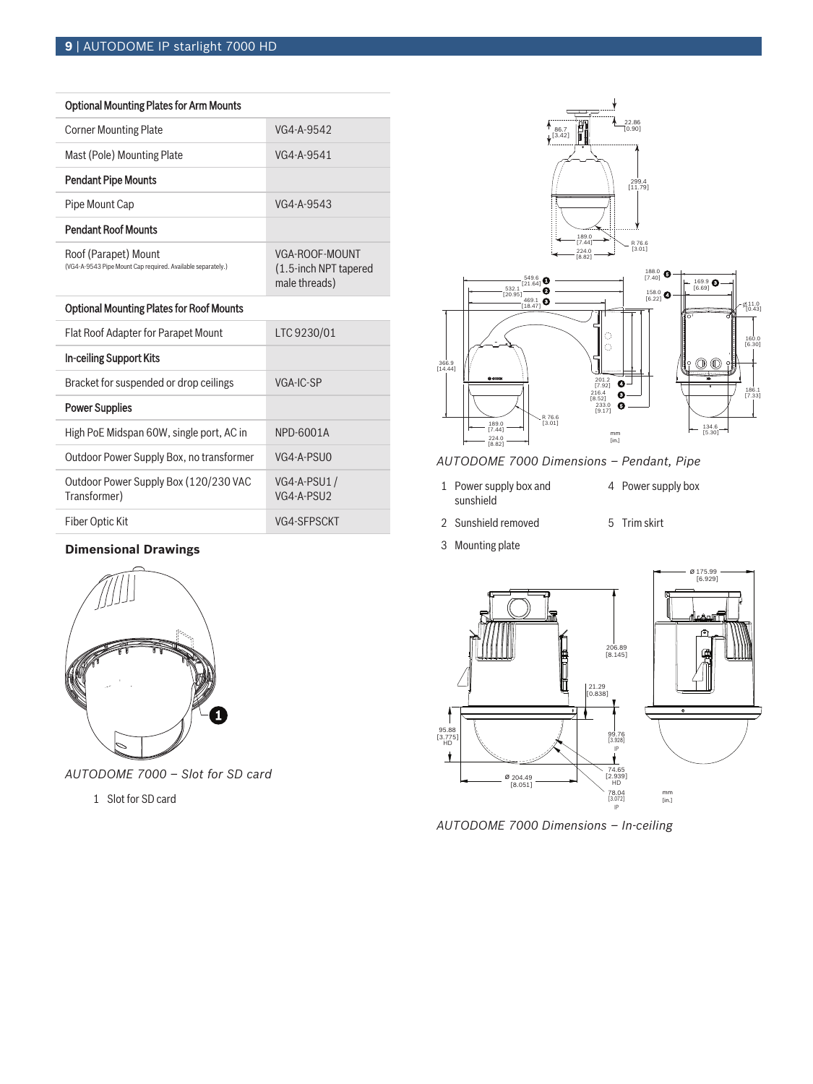| <b>Optional Mounting Plates for Arm Mounts</b>                                      |                                                          |
|-------------------------------------------------------------------------------------|----------------------------------------------------------|
| <b>Corner Mounting Plate</b>                                                        | VG4-A-9542                                               |
| Mast (Pole) Mounting Plate                                                          | VG4-A-9541                                               |
| <b>Pendant Pipe Mounts</b>                                                          |                                                          |
| Pipe Mount Cap                                                                      | VG4-A-9543                                               |
| <b>Pendant Roof Mounts</b>                                                          |                                                          |
| Roof (Parapet) Mount<br>(VG4-A-9543 Pipe Mount Cap required. Available separately.) | VGA-ROOF-MOUNT<br>(1.5-inch NPT tapered<br>male threads) |
| <b>Optional Mounting Plates for Roof Mounts</b>                                     |                                                          |
| <b>Flat Roof Adapter for Parapet Mount</b>                                          | LTC 9230/01                                              |
| In-ceiling Support Kits                                                             |                                                          |
| Bracket for suspended or drop ceilings                                              | VGA-IC-SP                                                |
| <b>Power Supplies</b>                                                               |                                                          |
| High PoE Midspan 60W, single port, AC in                                            | NPD-6001A                                                |
| Outdoor Power Supply Box, no transformer                                            | VG4-A-PSUO                                               |
| Outdoor Power Supply Box (120/230 VAC<br>Transformer)                               | VG4-A-PSU1/<br>VG4-A-PSU2                                |
| Fiber Optic Kit                                                                     | VG4-SFPSCKT                                              |

# **Dimensional Drawings**



*AUTODOME 7000 – Slot for SD card*

1 Slot for SD card



# *AUTODOME 7000 Dimensions – Pendant, Pipe*

- 1 Power supply box and sunshield
- 4 Power supply box
- 2 Sunshield removed 5 Trim skirt
- 3 Mounting plate



*AUTODOME 7000 Dimensions – In-ceiling*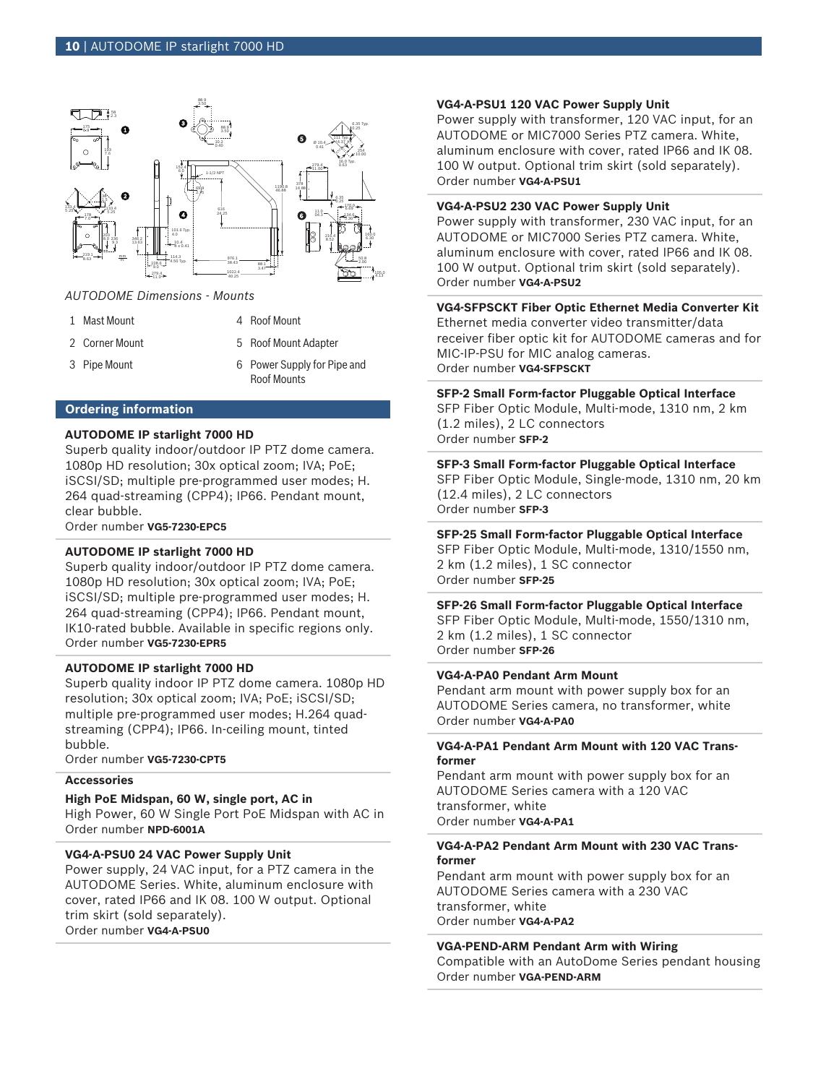

## *AUTODOME Dimensions - Mounts*

- 1 Mast Mount 1 Mast Mount
- 
- 

- 2 Corner Mount 12 Corner Mount
- 3 Pipe Mount 6 Power Supply for Pipe and Roof Mounts

## **Ordering information**

# **AUTODOME IP starlight 7000 HD**

Superb quality indoor/outdoor IP PTZ dome camera. 1080p HD resolution; 30x optical zoom; IVA; PoE; iSCSI/SD; multiple pre-programmed user modes; H. 264 quad-streaming (CPP4); IP66. Pendant mount, clear bubble.

Order number **VG5-7230-EPC5**

## **AUTODOME IP starlight 7000 HD**

Superb quality indoor/outdoor IP PTZ dome camera. 1080p HD resolution; 30x optical zoom; IVA; PoE; iSCSI/SD; multiple pre-programmed user modes; H. 264 quad-streaming (CPP4); IP66. Pendant mount, IK10-rated bubble. Available in specific regions only. Order number **VG5-7230-EPR5**

#### **AUTODOME IP starlight 7000 HD**

Superb quality indoor IP PTZ dome camera. 1080p HD resolution; 30x optical zoom; IVA; PoE; iSCSI/SD; multiple pre-programmed user modes; H.264 quadstreaming (CPP4); IP66. In-ceiling mount, tinted bubble.

Order number **VG5-7230-CPT5**

## **Accessories**

#### **High PoE Midspan, 60 W, single port, AC in**

High Power, 60 W Single Port PoE Midspan with AC in Order number **NPD-6001A**

## **VG4-A-PSU0 24 VAC Power Supply Unit**

Power supply, 24 VAC input, for a PTZ camera in the AUTODOME Series. White, aluminum enclosure with cover, rated IP66 and IK 08. 100 W output. Optional trim skirt (sold separately). Order number **VG4-A-PSU0**

#### **VG4-A-PSU1 120 VAC Power Supply Unit**

Power supply with transformer, 120 VAC input, for an AUTODOME or MIC7000 Series PTZ camera. White, aluminum enclosure with cover, rated IP66 and IK 08. 100 W output. Optional trim skirt (sold separately). Order number **VG4-A-PSU1**

#### **VG4-A-PSU2 230 VAC Power Supply Unit**

Power supply with transformer, 230 VAC input, for an AUTODOME or MIC7000 Series PTZ camera. White, aluminum enclosure with cover, rated IP66 and IK 08. 100 W output. Optional trim skirt (sold separately). Order number **VG4-A-PSU2**

## **VG4‑SFPSCKT Fiber Optic Ethernet Media Converter Kit**

Ethernet media converter video transmitter/data receiver fiber optic kit for AUTODOME cameras and for MIC-IP-PSU for MIC analog cameras. Order number **VG4-SFPSCKT**

#### **SFP‑2 Small Form‑factor Pluggable Optical Interface**

SFP Fiber Optic Module, Multi-mode, 1310 nm, 2 km (1.2 miles), 2 LC connectors Order number **SFP-2**

#### **SFP‑3 Small Form‑factor Pluggable Optical Interface**

SFP Fiber Optic Module, Single-mode, 1310 nm, 20 km (12.4 miles), 2 LC connectors Order number **SFP-3**

## **SFP‑25 Small Form‑factor Pluggable Optical Interface**

SFP Fiber Optic Module, Multi-mode, 1310/1550 nm, 2 km (1.2 miles), 1 SC connector Order number **SFP-25**

## **SFP‑26 Small Form‑factor Pluggable Optical Interface**

SFP Fiber Optic Module, Multi-mode, 1550/1310 nm, 2 km (1.2 miles), 1 SC connector Order number **SFP-26**

## **VG4-A-PA0 Pendant Arm Mount**

Pendant arm mount with power supply box for an AUTODOME Series camera, no transformer, white Order number **VG4-A-PA0**

## **VG4-A-PA1 Pendant Arm Mount with 120 VAC Transformer**

Pendant arm mount with power supply box for an AUTODOME Series camera with a 120 VAC transformer, white Order number **VG4-A-PA1**

## **VG4-A-PA2 Pendant Arm Mount with 230 VAC Transformer**

Pendant arm mount with power supply box for an AUTODOME Series camera with a 230 VAC transformer, white Order number **VG4-A-PA2**

#### **VGA-PEND-ARM Pendant Arm with Wiring**

Compatible with an AutoDome Series pendant housing Order number **VGA-PEND-ARM**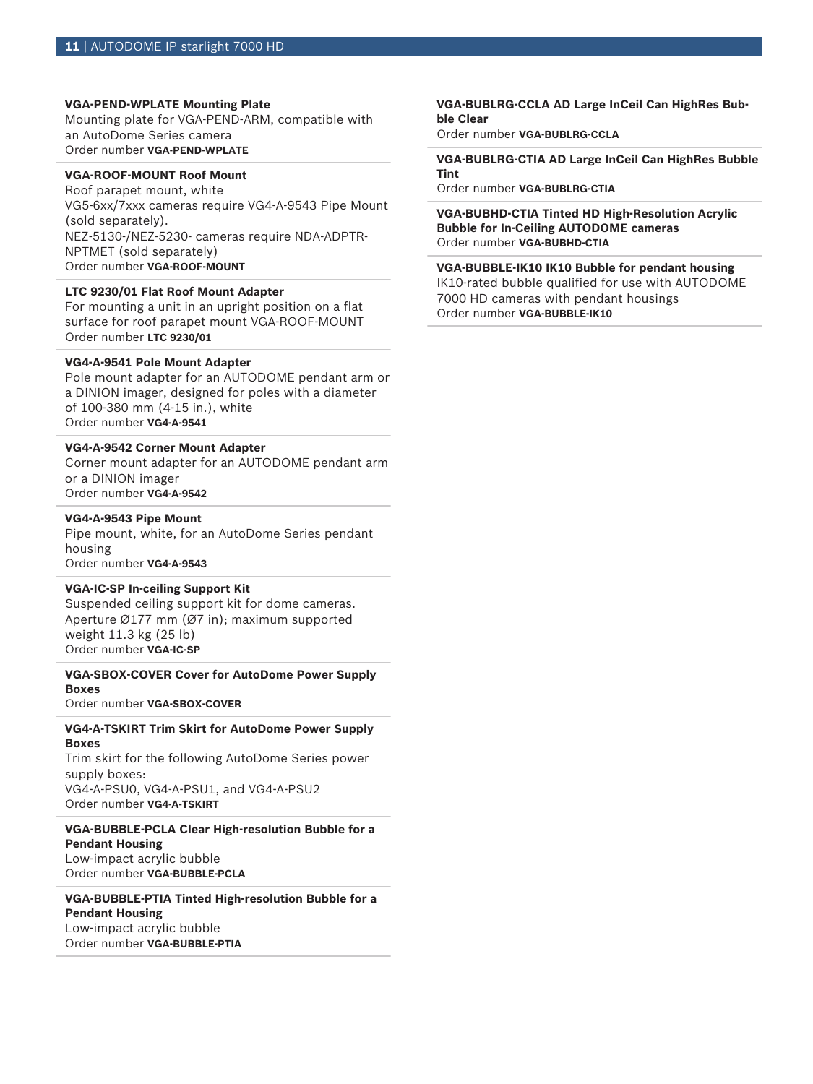#### **VGA-PEND-WPLATE Mounting Plate**

Mounting plate for VGA-PEND-ARM, compatible with an AutoDome Series camera Order number **VGA-PEND-WPLATE**

# **VGA-ROOF-MOUNT Roof Mount**

Roof parapet mount, white VG5-6xx/7xxx cameras require VG4-A-9543 Pipe Mount (sold separately). NEZ-5130-/NEZ-5230- cameras require NDA-ADPTR-NPTMET (sold separately) Order number **VGA-ROOF-MOUNT**

## **LTC 9230/01 Flat Roof Mount Adapter**

For mounting a unit in an upright position on a flat surface for roof parapet mount VGA-ROOF-MOUNT Order number **LTC 9230/01**

## **VG4-A-9541 Pole Mount Adapter**

Pole mount adapter for an AUTODOME pendant arm or a DINION imager, designed for poles with a diameter of 100‑380 mm (4‑15 in.), white Order number **VG4-A-9541**

#### **VG4-A-9542 Corner Mount Adapter**

Corner mount adapter for an AUTODOME pendant arm or a DINION imager Order number **VG4-A-9542**

#### **VG4-A-9543 Pipe Mount**

Pipe mount, white, for an AutoDome Series pendant housing Order number **VG4-A-9543**

#### **VGA-IC-SP In-ceiling Support Kit**

Suspended ceiling support kit for dome cameras. Aperture Ø177 mm (Ø7 in); maximum supported weight 11.3 kg (25 lb) Order number **VGA-IC-SP**

# **VGA-SBOX-COVER Cover for AutoDome Power Supply Boxes**

Order number **VGA-SBOX-COVER**

#### **VG4-A-TSKIRT Trim Skirt for AutoDome Power Supply Boxes**

Trim skirt for the following AutoDome Series power supply boxes: VG4-A-PSU0, VG4-A-PSU1, and VG4-A-PSU2 Order number **VG4-A-TSKIRT**

# **VGA-BUBBLE-PCLA Clear High-resolution Bubble for a Pendant Housing**

Low-impact acrylic bubble Order number **VGA-BUBBLE-PCLA**

## **VGA-BUBBLE-PTIA Tinted High-resolution Bubble for a Pendant Housing** Low-impact acrylic bubble

Order number **VGA-BUBBLE-PTIA**

#### **VGA-BUBLRG-CCLA AD Large InCeil Can HighRes Bubble Clear**

Order number **VGA-BUBLRG-CCLA**

#### **VGA-BUBLRG-CTIA AD Large InCeil Can HighRes Bubble Tint**

Order number **VGA-BUBLRG-CTIA**

**VGA-BUBHD-CTIA Tinted HD High-Resolution Acrylic Bubble for In-Ceiling AUTODOME cameras** Order number **VGA-BUBHD-CTIA**

## **VGA-BUBBLE-IK10 IK10 Bubble for pendant housing** IK10-rated bubble qualified for use with AUTODOME 7000 HD cameras with pendant housings Order number **VGA-BUBBLE-IK10**